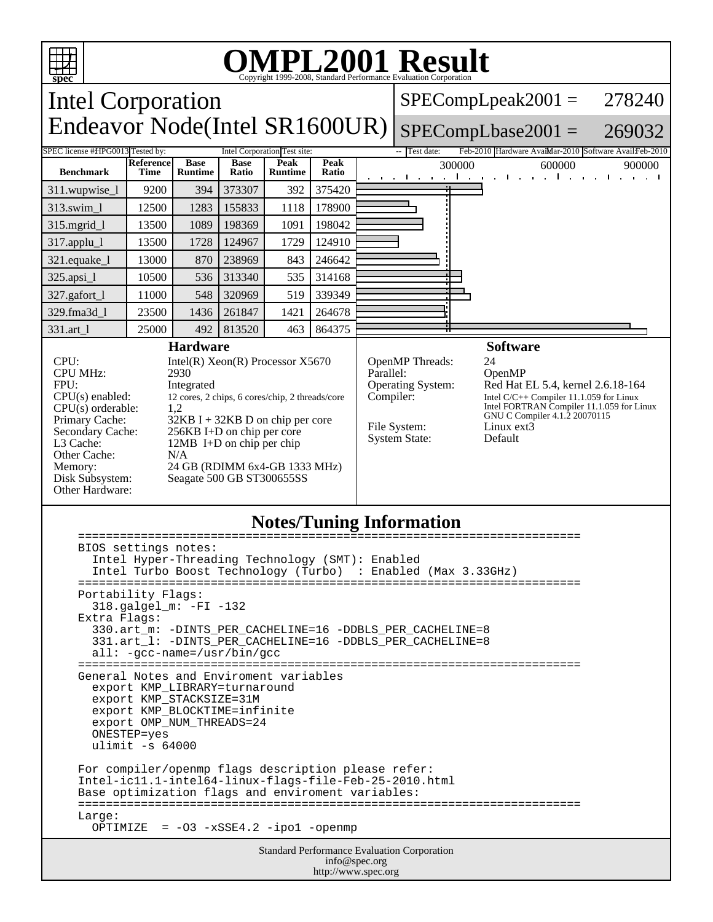

## **Notes/Tuning Information**

| BIOS settings notes:<br>Intel Hyper-Threading Technology (SMT): Enabled<br>Intel Turbo Boost Technology (Turbo) : Enabled (Max 3.33GHz)                                                                                         |  |
|---------------------------------------------------------------------------------------------------------------------------------------------------------------------------------------------------------------------------------|--|
| Portability Flags:<br>$318.$ galgel m: $-FI - 132$<br>Extra Flags:<br>330.art_m: -DINTS_PER_CACHELINE=16 -DDBLS_PER_CACHELINE=8<br>331.art_1: -DINTS_PER_CACHELINE=16 -DDBLS_PER_CACHELINE=8<br>$all: -gcc-name = /usr/bin/gcc$ |  |
| ---------------<br>General Notes and Enviroment variables<br>export KMP LIBRARY=turnaround<br>export KMP STACKSIZE=31M<br>export KMP BLOCKTIME=infinite<br>export OMP NUM THREADS=24<br>ONESTEP=yes<br>ulimit $-s$ 64000        |  |
| For compiler/openmp flags description please refer:<br>Intel-ic11.1-intel64-linux-flags-file-Feb-25-2010.html<br>Base optimization flags and enviroment variables:<br>Large:<br>OPTIMIZE = $-03 - xSSE4.2 - ipo1 - openmp$      |  |
| <b>Standard Performance Evaluation Corporation</b><br>info@spec.org                                                                                                                                                             |  |

http://www.spec.org